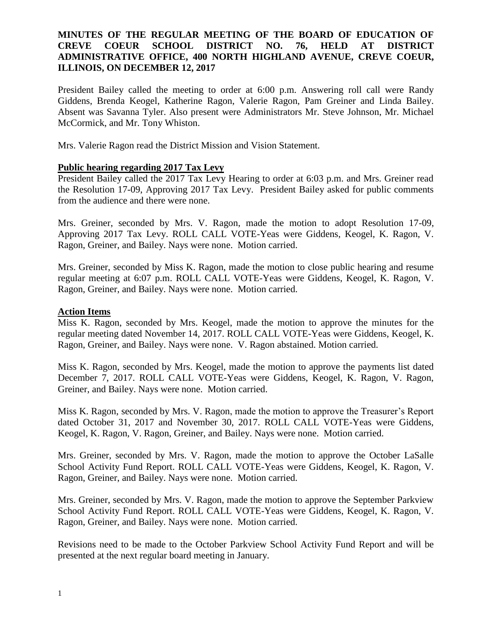# **MINUTES OF THE REGULAR MEETING OF THE BOARD OF EDUCATION OF CREVE COEUR SCHOOL DISTRICT NO. 76, HELD AT DISTRICT ADMINISTRATIVE OFFICE, 400 NORTH HIGHLAND AVENUE, CREVE COEUR, ILLINOIS, ON DECEMBER 12, 2017**

President Bailey called the meeting to order at 6:00 p.m. Answering roll call were Randy Giddens, Brenda Keogel, Katherine Ragon, Valerie Ragon, Pam Greiner and Linda Bailey. Absent was Savanna Tyler. Also present were Administrators Mr. Steve Johnson, Mr. Michael McCormick, and Mr. Tony Whiston.

Mrs. Valerie Ragon read the District Mission and Vision Statement.

### **Public hearing regarding 2017 Tax Levy**

President Bailey called the 2017 Tax Levy Hearing to order at 6:03 p.m. and Mrs. Greiner read the Resolution 17-09, Approving 2017 Tax Levy. President Bailey asked for public comments from the audience and there were none.

Mrs. Greiner, seconded by Mrs. V. Ragon, made the motion to adopt Resolution 17-09, Approving 2017 Tax Levy. ROLL CALL VOTE-Yeas were Giddens, Keogel, K. Ragon, V. Ragon, Greiner, and Bailey. Nays were none. Motion carried.

Mrs. Greiner, seconded by Miss K. Ragon, made the motion to close public hearing and resume regular meeting at 6:07 p.m. ROLL CALL VOTE-Yeas were Giddens, Keogel, K. Ragon, V. Ragon, Greiner, and Bailey. Nays were none. Motion carried.

#### **Action Items**

Miss K. Ragon, seconded by Mrs. Keogel, made the motion to approve the minutes for the regular meeting dated November 14, 2017. ROLL CALL VOTE-Yeas were Giddens, Keogel, K. Ragon, Greiner, and Bailey. Nays were none. V. Ragon abstained. Motion carried.

Miss K. Ragon, seconded by Mrs. Keogel, made the motion to approve the payments list dated December 7, 2017. ROLL CALL VOTE-Yeas were Giddens, Keogel, K. Ragon, V. Ragon, Greiner, and Bailey. Nays were none. Motion carried.

Miss K. Ragon, seconded by Mrs. V. Ragon, made the motion to approve the Treasurer's Report dated October 31, 2017 and November 30, 2017. ROLL CALL VOTE-Yeas were Giddens, Keogel, K. Ragon, V. Ragon, Greiner, and Bailey. Nays were none. Motion carried.

Mrs. Greiner, seconded by Mrs. V. Ragon, made the motion to approve the October LaSalle School Activity Fund Report. ROLL CALL VOTE-Yeas were Giddens, Keogel, K. Ragon, V. Ragon, Greiner, and Bailey. Nays were none. Motion carried.

Mrs. Greiner, seconded by Mrs. V. Ragon, made the motion to approve the September Parkview School Activity Fund Report. ROLL CALL VOTE-Yeas were Giddens, Keogel, K. Ragon, V. Ragon, Greiner, and Bailey. Nays were none. Motion carried.

Revisions need to be made to the October Parkview School Activity Fund Report and will be presented at the next regular board meeting in January.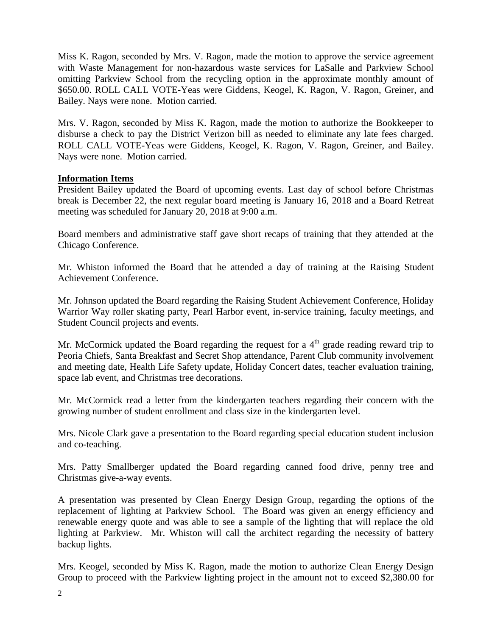Miss K. Ragon, seconded by Mrs. V. Ragon, made the motion to approve the service agreement with Waste Management for non-hazardous waste services for LaSalle and Parkview School omitting Parkview School from the recycling option in the approximate monthly amount of \$650.00. ROLL CALL VOTE-Yeas were Giddens, Keogel, K. Ragon, V. Ragon, Greiner, and Bailey. Nays were none. Motion carried.

Mrs. V. Ragon, seconded by Miss K. Ragon, made the motion to authorize the Bookkeeper to disburse a check to pay the District Verizon bill as needed to eliminate any late fees charged. ROLL CALL VOTE-Yeas were Giddens, Keogel, K. Ragon, V. Ragon, Greiner, and Bailey. Nays were none. Motion carried.

### **Information Items**

President Bailey updated the Board of upcoming events. Last day of school before Christmas break is December 22, the next regular board meeting is January 16, 2018 and a Board Retreat meeting was scheduled for January 20, 2018 at 9:00 a.m.

Board members and administrative staff gave short recaps of training that they attended at the Chicago Conference.

Mr. Whiston informed the Board that he attended a day of training at the Raising Student Achievement Conference.

Mr. Johnson updated the Board regarding the Raising Student Achievement Conference, Holiday Warrior Way roller skating party, Pearl Harbor event, in-service training, faculty meetings, and Student Council projects and events.

Mr. McCormick updated the Board regarding the request for a  $4<sup>th</sup>$  grade reading reward trip to Peoria Chiefs, Santa Breakfast and Secret Shop attendance, Parent Club community involvement and meeting date, Health Life Safety update, Holiday Concert dates, teacher evaluation training, space lab event, and Christmas tree decorations.

Mr. McCormick read a letter from the kindergarten teachers regarding their concern with the growing number of student enrollment and class size in the kindergarten level.

Mrs. Nicole Clark gave a presentation to the Board regarding special education student inclusion and co-teaching.

Mrs. Patty Smallberger updated the Board regarding canned food drive, penny tree and Christmas give-a-way events.

A presentation was presented by Clean Energy Design Group, regarding the options of the replacement of lighting at Parkview School. The Board was given an energy efficiency and renewable energy quote and was able to see a sample of the lighting that will replace the old lighting at Parkview. Mr. Whiston will call the architect regarding the necessity of battery backup lights.

Mrs. Keogel, seconded by Miss K. Ragon, made the motion to authorize Clean Energy Design Group to proceed with the Parkview lighting project in the amount not to exceed \$2,380.00 for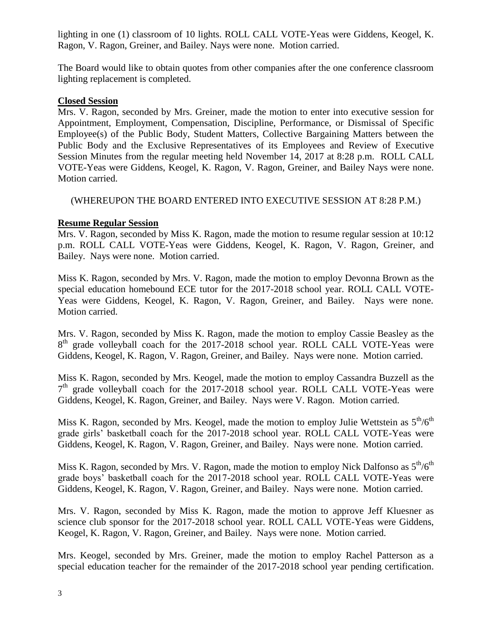lighting in one (1) classroom of 10 lights. ROLL CALL VOTE-Yeas were Giddens, Keogel, K. Ragon, V. Ragon, Greiner, and Bailey. Nays were none. Motion carried.

The Board would like to obtain quotes from other companies after the one conference classroom lighting replacement is completed.

### **Closed Session**

Mrs. V. Ragon, seconded by Mrs. Greiner, made the motion to enter into executive session for Appointment, Employment, Compensation, Discipline, Performance, or Dismissal of Specific Employee(s) of the Public Body, Student Matters, Collective Bargaining Matters between the Public Body and the Exclusive Representatives of its Employees and Review of Executive Session Minutes from the regular meeting held November 14, 2017 at 8:28 p.m. ROLL CALL VOTE-Yeas were Giddens, Keogel, K. Ragon, V. Ragon, Greiner, and Bailey Nays were none. Motion carried.

# (WHEREUPON THE BOARD ENTERED INTO EXECUTIVE SESSION AT 8:28 P.M.)

# **Resume Regular Session**

Mrs. V. Ragon, seconded by Miss K. Ragon, made the motion to resume regular session at 10:12 p.m. ROLL CALL VOTE-Yeas were Giddens, Keogel, K. Ragon, V. Ragon, Greiner, and Bailey. Nays were none. Motion carried.

Miss K. Ragon, seconded by Mrs. V. Ragon, made the motion to employ Devonna Brown as the special education homebound ECE tutor for the 2017-2018 school year. ROLL CALL VOTE-Yeas were Giddens, Keogel, K. Ragon, V. Ragon, Greiner, and Bailey. Nays were none. Motion carried.

Mrs. V. Ragon, seconded by Miss K. Ragon, made the motion to employ Cassie Beasley as the 8<sup>th</sup> grade volleyball coach for the 2017-2018 school year. ROLL CALL VOTE-Yeas were Giddens, Keogel, K. Ragon, V. Ragon, Greiner, and Bailey. Nays were none. Motion carried.

Miss K. Ragon, seconded by Mrs. Keogel, made the motion to employ Cassandra Buzzell as the 7<sup>th</sup> grade volleyball coach for the 2017-2018 school year. ROLL CALL VOTE-Yeas were Giddens, Keogel, K. Ragon, Greiner, and Bailey. Nays were V. Ragon. Motion carried.

Miss K. Ragon, seconded by Mrs. Keogel, made the motion to employ Julie Wettstein as  $5<sup>th</sup>/6<sup>th</sup>$ grade girls' basketball coach for the 2017-2018 school year. ROLL CALL VOTE-Yeas were Giddens, Keogel, K. Ragon, V. Ragon, Greiner, and Bailey. Nays were none. Motion carried.

Miss K. Ragon, seconded by Mrs. V. Ragon, made the motion to employ Nick Dalfonso as  $5<sup>th</sup>/6<sup>th</sup>$ grade boys' basketball coach for the 2017-2018 school year. ROLL CALL VOTE-Yeas were Giddens, Keogel, K. Ragon, V. Ragon, Greiner, and Bailey. Nays were none. Motion carried.

Mrs. V. Ragon, seconded by Miss K. Ragon, made the motion to approve Jeff Kluesner as science club sponsor for the 2017-2018 school year. ROLL CALL VOTE-Yeas were Giddens, Keogel, K. Ragon, V. Ragon, Greiner, and Bailey. Nays were none. Motion carried.

Mrs. Keogel, seconded by Mrs. Greiner, made the motion to employ Rachel Patterson as a special education teacher for the remainder of the 2017-2018 school year pending certification.